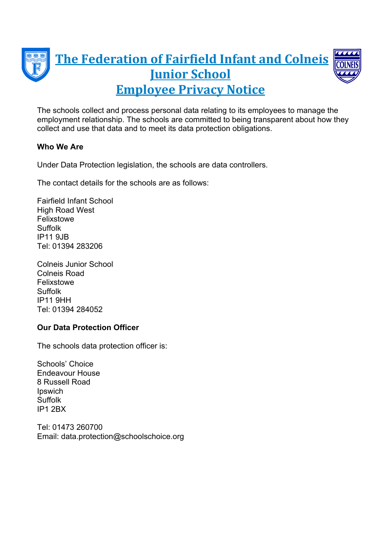

The schools collect and process personal data relating to its employees to manage the employment relationship. The schools are committed to being transparent about how they collect and use that data and to meet its data protection obligations.

# **Who We Are**

Under Data Protection legislation, the schools are data controllers.

The contact details for the schools are as follows:

Fairfield Infant School High Road West Felixstowe Suffolk IP11 9JB Tel: 01394 283206

Colneis Junior School Colneis Road Felixstowe Suffolk IP11 9HH Tel: 01394 284052

## **Our Data Protection Officer**

The schools data protection officer is:

Schools' Choice Endeavour House 8 Russell Road Ipswich **Suffolk** IP1 2BX

Tel: 01473 260700 Email: data.protection@schoolschoice.org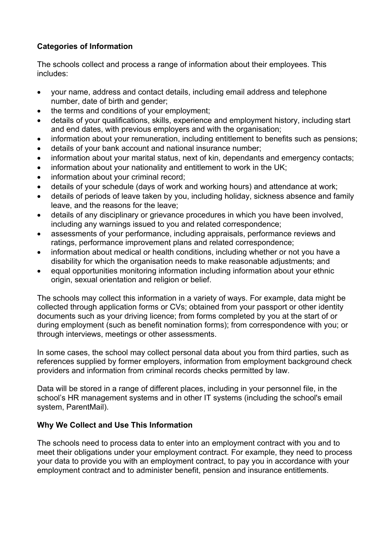# **Categories of Information**

The schools collect and process a range of information about their employees. This includes:

- ∑ your name, address and contact details, including email address and telephone number, date of birth and gender;
- the terms and conditions of your employment;
- details of your qualifications, skills, experience and employment history, including start and end dates, with previous employers and with the organisation;
- information about your remuneration, including entitlement to benefits such as pensions;
- ∑ details of your bank account and national insurance number;
- information about your marital status, next of kin, dependants and emergency contacts;
- information about your nationality and entitlement to work in the UK;
- information about your criminal record;
- ∑ details of your schedule (days of work and working hours) and attendance at work;
- ∑ details of periods of leave taken by you, including holiday, sickness absence and family leave, and the reasons for the leave;
- details of any disciplinary or grievance procedures in which you have been involved, including any warnings issued to you and related correspondence;
- assessments of your performance, including appraisals, performance reviews and ratings, performance improvement plans and related correspondence;
- information about medical or health conditions, including whether or not you have a disability for which the organisation needs to make reasonable adjustments; and
- equal opportunities monitoring information including information about your ethnic origin, sexual orientation and religion or belief.

The schools may collect this information in a variety of ways. For example, data might be collected through application forms or CVs; obtained from your passport or other identity documents such as your driving licence; from forms completed by you at the start of or during employment (such as benefit nomination forms); from correspondence with you; or through interviews, meetings or other assessments.

In some cases, the school may collect personal data about you from third parties, such as references supplied by former employers, information from employment background check providers and information from criminal records checks permitted by law.

Data will be stored in a range of different places, including in your personnel file, in the school's HR management systems and in other IT systems (including the school's email system, ParentMail).

# **Why We Collect and Use This Information**

The schools need to process data to enter into an employment contract with you and to meet their obligations under your employment contract. For example, they need to process your data to provide you with an employment contract, to pay you in accordance with your employment contract and to administer benefit, pension and insurance entitlements.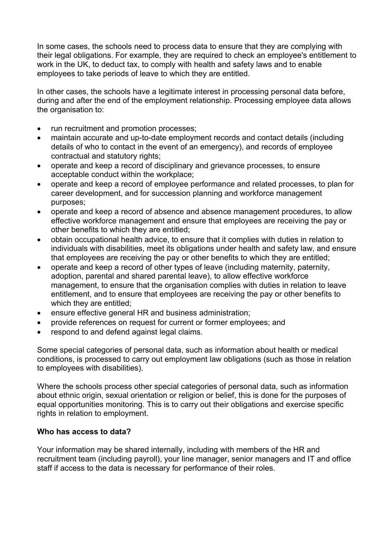In some cases, the schools need to process data to ensure that they are complying with their legal obligations. For example, they are required to check an employee's entitlement to work in the UK, to deduct tax, to comply with health and safety laws and to enable employees to take periods of leave to which they are entitled.

In other cases, the schools have a legitimate interest in processing personal data before, during and after the end of the employment relationship. Processing employee data allows the organisation to:

- run recruitment and promotion processes;
- maintain accurate and up-to-date employment records and contact details (including details of who to contact in the event of an emergency), and records of employee contractual and statutory rights;
- operate and keep a record of disciplinary and grievance processes, to ensure acceptable conduct within the workplace;
- operate and keep a record of employee performance and related processes, to plan for career development, and for succession planning and workforce management purposes;
- ∑ operate and keep a record of absence and absence management procedures, to allow effective workforce management and ensure that employees are receiving the pay or other benefits to which they are entitled;
- obtain occupational health advice, to ensure that it complies with duties in relation to individuals with disabilities, meet its obligations under health and safety law, and ensure that employees are receiving the pay or other benefits to which they are entitled;
- operate and keep a record of other types of leave (including maternity, paternity, adoption, parental and shared parental leave), to allow effective workforce management, to ensure that the organisation complies with duties in relation to leave entitlement, and to ensure that employees are receiving the pay or other benefits to which they are entitled;
- ensure effective general HR and business administration;
- provide references on request for current or former employees; and
- respond to and defend against legal claims.

Some special categories of personal data, such as information about health or medical conditions, is processed to carry out employment law obligations (such as those in relation to employees with disabilities).

Where the schools process other special categories of personal data, such as information about ethnic origin, sexual orientation or religion or belief, this is done for the purposes of equal opportunities monitoring. This is to carry out their obligations and exercise specific rights in relation to employment.

#### **Who has access to data?**

Your information may be shared internally, including with members of the HR and recruitment team (including payroll), your line manager, senior managers and IT and office staff if access to the data is necessary for performance of their roles.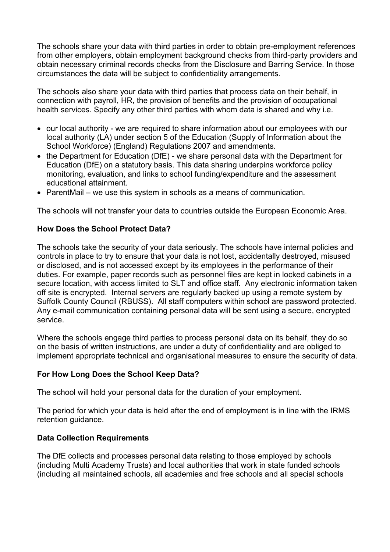The schools share your data with third parties in order to obtain pre-employment references from other employers, obtain employment background checks from third-party providers and obtain necessary criminal records checks from the Disclosure and Barring Service. In those circumstances the data will be subject to confidentiality arrangements.

The schools also share your data with third parties that process data on their behalf, in connection with payroll, HR, the provision of benefits and the provision of occupational health services. Specify any other third parties with whom data is shared and why i.e.

- our local authority we are required to share information about our employees with our local authority (LA) under section 5 of the Education (Supply of Information about the School Workforce) (England) Regulations 2007 and amendments.
- the Department for Education (DfE) we share personal data with the Department for Education (DfE) on a statutory basis. This data sharing underpins workforce policy monitoring, evaluation, and links to school funding/expenditure and the assessment educational attainment.
- ParentMail we use this system in schools as a means of communication.

The schools will not transfer your data to countries outside the European Economic Area.

## **How Does the School Protect Data?**

The schools take the security of your data seriously. The schools have internal policies and controls in place to try to ensure that your data is not lost, accidentally destroyed, misused or disclosed, and is not accessed except by its employees in the performance of their duties. For example, paper records such as personnel files are kept in locked cabinets in a secure location, with access limited to SLT and office staff. Any electronic information taken off site is encrypted. Internal servers are regularly backed up using a remote system by Suffolk County Council (RBUSS). All staff computers within school are password protected. Any e-mail communication containing personal data will be sent using a secure, encrypted service.

Where the schools engage third parties to process personal data on its behalf, they do so on the basis of written instructions, are under a duty of confidentiality and are obliged to implement appropriate technical and organisational measures to ensure the security of data.

#### **For How Long Does the School Keep Data?**

The school will hold your personal data for the duration of your employment.

The period for which your data is held after the end of employment is in line with the IRMS retention guidance.

#### **Data Collection Requirements**

The DfE collects and processes personal data relating to those employed by schools (including Multi Academy Trusts) and local authorities that work in state funded schools (including all maintained schools, all academies and free schools and all special schools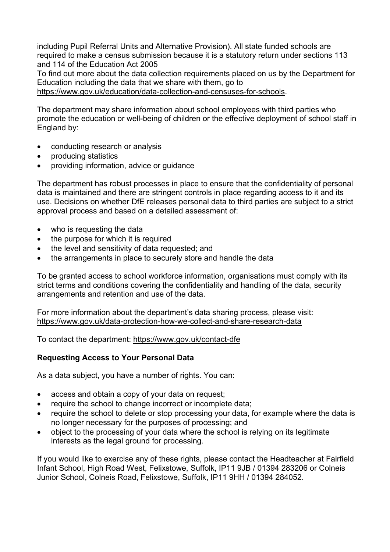including Pupil Referral Units and Alternative Provision). All state funded schools are required to make a census submission because it is a statutory return under sections 113 and 114 of the Education Act 2005

To find out more about the data collection requirements placed on us by the Department for Education including the data that we share with them, go to

[https://www.gov.uk/education/data-collection-and-censuses-for-schools.](https://www.gov.uk/education/data-collection-and-censuses-for-schools)

The department may share information about school employees with third parties who promote the education or well-being of children or the effective deployment of school staff in England by:

- conducting research or analysis
- ∑ producing statistics
- ∑ providing information, advice or guidance

The department has robust processes in place to ensure that the confidentiality of personal data is maintained and there are stringent controls in place regarding access to it and its use. Decisions on whether DfE releases personal data to third parties are subject to a strict approval process and based on a detailed assessment of:

- who is requesting the data
- the purpose for which it is required
- the level and sensitivity of data requested; and
- the arrangements in place to securely store and handle the data

To be granted access to school workforce information, organisations must comply with its strict terms and conditions covering the confidentiality and handling of the data, security arrangements and retention and use of the data.

For more information about the department's data sharing process, please visit: <https://www.gov.uk/data-protection-how-we-collect-and-share-research-data>

To contact the department:<https://www.gov.uk/contact-dfe>

#### **Requesting Access to Your Personal Data**

As a data subject, you have a number of rights. You can:

- access and obtain a copy of your data on request;
- require the school to change incorrect or incomplete data;
- ∑ require the school to delete or stop processing your data, for example where the data is no longer necessary for the purposes of processing; and
- ∑ object to the processing of your data where the school is relying on its legitimate interests as the legal ground for processing.

If you would like to exercise any of these rights, please contact the Headteacher at Fairfield Infant School, High Road West, Felixstowe, Suffolk, IP11 9JB / 01394 283206 or Colneis Junior School, Colneis Road, Felixstowe, Suffolk, IP11 9HH / 01394 284052.